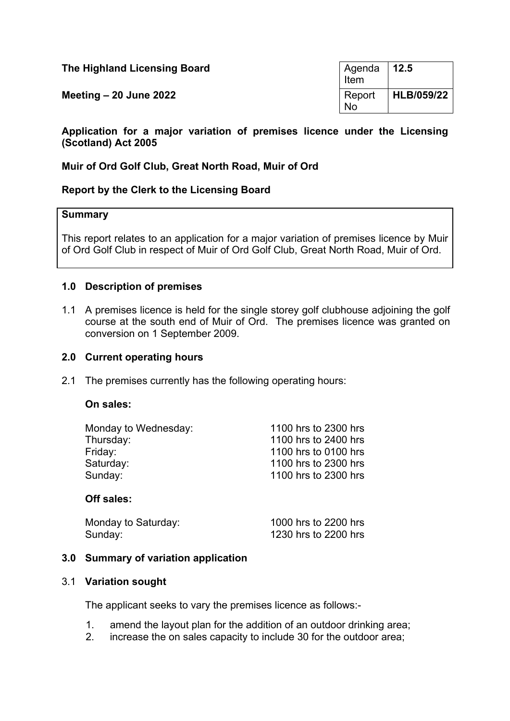| The Highland Licensing Board | l Agenda<br>Item    | 12.5       |
|------------------------------|---------------------|------------|
| Meeting $-20$ June 2022      | Report<br><b>No</b> | HLB/059/22 |

## **Application for a major variation of premises licence under the Licensing (Scotland) Act 2005**

## **Muir of Ord Golf Club, Great North Road, Muir of Ord**

## **Report by the Clerk to the Licensing Board**

#### **Summary**

This report relates to an application for a major variation of premises licence by Muir of Ord Golf Club in respect of Muir of Ord Golf Club, Great North Road, Muir of Ord.

### **1.0 Description of premises**

1.1 A premises licence is held for the single storey golf clubhouse adjoining the golf course at the south end of Muir of Ord. The premises licence was granted on conversion on 1 September 2009.

#### **2.0 Current operating hours**

2.1 The premises currently has the following operating hours:

#### **On sales:**

| Monday to Wednesday: | 1100 hrs to 2300 hrs |
|----------------------|----------------------|
| Thursday:            | 1100 hrs to 2400 hrs |
| Friday:              | 1100 hrs to 0100 hrs |
| Saturday:            | 1100 hrs to 2300 hrs |
| Sunday:              | 1100 hrs to 2300 hrs |
| Off sales:           |                      |
| Monday to Saturday:  | 1000 hrs to 2200 hrs |
| Sunday:              | 1230 hrs to 2200 hrs |

#### **3.0 Summary of variation application**

#### 3.1 **Variation sought**

The applicant seeks to vary the premises licence as follows:-

- 1. amend the layout plan for the addition of an outdoor drinking area;
- 2. increase the on sales capacity to include 30 for the outdoor area;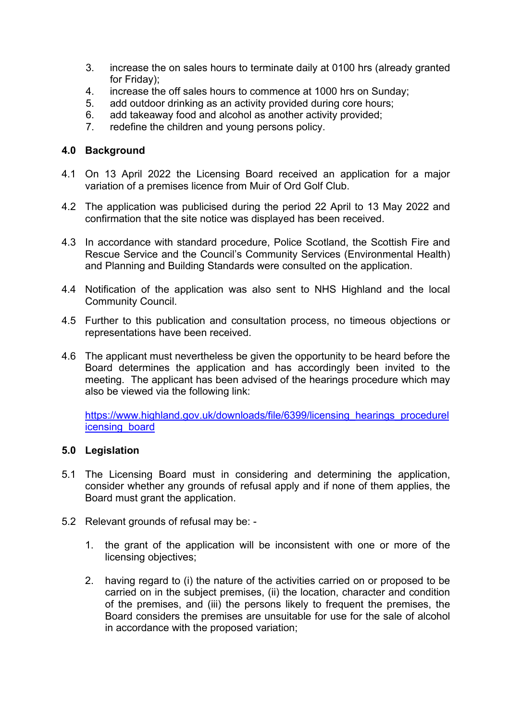- 3. increase the on sales hours to terminate daily at 0100 hrs (already granted for Friday);
- 4. increase the off sales hours to commence at 1000 hrs on Sunday;
- 5. add outdoor drinking as an activity provided during core hours;
- 6. add takeaway food and alcohol as another activity provided;
- 7. redefine the children and young persons policy.

## **4.0 Background**

- 4.1 On 13 April 2022 the Licensing Board received an application for a major variation of a premises licence from Muir of Ord Golf Club.
- 4.2 The application was publicised during the period 22 April to 13 May 2022 and confirmation that the site notice was displayed has been received.
- 4.3 In accordance with standard procedure, Police Scotland, the Scottish Fire and Rescue Service and the Council's Community Services (Environmental Health) and Planning and Building Standards were consulted on the application.
- 4.4 Notification of the application was also sent to NHS Highland and the local Community Council.
- 4.5 Further to this publication and consultation process, no timeous objections or representations have been received.
- 4.6 The applicant must nevertheless be given the opportunity to be heard before the Board determines the application and has accordingly been invited to the meeting. The applicant has been advised of the hearings procedure which may also be viewed via the following link:

[https://www.highland.gov.uk/downloads/file/6399/licensing\\_hearings\\_procedurel](https://www.highland.gov.uk/downloads/file/6399/licensing_hearings_procedurelicensing_board) [icensing\\_board](https://www.highland.gov.uk/downloads/file/6399/licensing_hearings_procedurelicensing_board)

## **5.0 Legislation**

- 5.1 The Licensing Board must in considering and determining the application, consider whether any grounds of refusal apply and if none of them applies, the Board must grant the application.
- 5.2 Relevant grounds of refusal may be:
	- 1. the grant of the application will be inconsistent with one or more of the licensing objectives;
	- 2. having regard to (i) the nature of the activities carried on or proposed to be carried on in the subject premises, (ii) the location, character and condition of the premises, and (iii) the persons likely to frequent the premises, the Board considers the premises are unsuitable for use for the sale of alcohol in accordance with the proposed variation;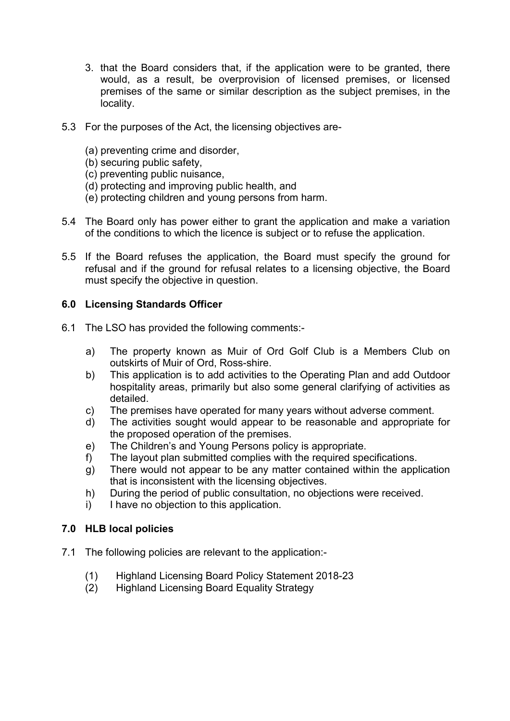- 3. that the Board considers that, if the application were to be granted, there would, as a result, be overprovision of licensed premises, or licensed premises of the same or similar description as the subject premises, in the locality.
- 5.3 For the purposes of the Act, the licensing objectives are-
	- (a) preventing crime and disorder,
	- (b) securing public safety,
	- (c) preventing public nuisance,
	- (d) protecting and improving public health, and
	- (e) protecting children and young persons from harm.
- 5.4 The Board only has power either to grant the application and make a variation of the conditions to which the licence is subject or to refuse the application.
- 5.5 If the Board refuses the application, the Board must specify the ground for refusal and if the ground for refusal relates to a licensing objective, the Board must specify the objective in question.

# **6.0 Licensing Standards Officer**

- 6.1 The LSO has provided the following comments:
	- a) The property known as Muir of Ord Golf Club is a Members Club on outskirts of Muir of Ord, Ross-shire.
	- b) This application is to add activities to the Operating Plan and add Outdoor hospitality areas, primarily but also some general clarifying of activities as detailed.
	- c) The premises have operated for many years without adverse comment.
	- d) The activities sought would appear to be reasonable and appropriate for the proposed operation of the premises.
	- e) The Children's and Young Persons policy is appropriate.
	- f) The layout plan submitted complies with the required specifications.
	- g) There would not appear to be any matter contained within the application that is inconsistent with the licensing objectives.
	- h) During the period of public consultation, no objections were received.
	- i) I have no objection to this application.

## **7.0 HLB local policies**

- 7.1 The following policies are relevant to the application:-
	- (1) Highland Licensing Board Policy Statement 2018-23
	- (2) Highland Licensing Board Equality Strategy